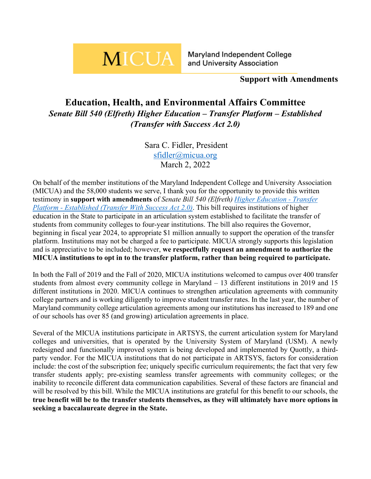# **MICUA**

Maryland Independent College and University Association

# **Support with Amendments**

# **Education, Health, and Environmental Affairs Committee** *Senate Bill 540 (Elfreth) Higher Education – Transfer Platform – Established (Transfer with Success Act 2.0)*

Sara C. Fidler, President [sfidler@micua.org](mailto:sfidler@micua.org) March 2, 2022

On behalf of the member institutions of the Maryland Independent College and University Association (MICUA) and the 58,000 students we serve, I thank you for the opportunity to provide this written testimony in **support with amendments** of *Senate Bill 540 (Elfreth) [Higher Education -](https://mgaleg.maryland.gov/mgawebsite/Legislation/Details/SB0540?ys=2022RS) Transfer Platform - [Established \(Transfer With Success Act 2.0\)](https://mgaleg.maryland.gov/mgawebsite/Legislation/Details/SB0540?ys=2022RS)*. This bill requires institutions of higher education in the State to participate in an articulation system established to facilitate the transfer of students from community colleges to four-year institutions. The bill also requires the Governor, beginning in fiscal year 2024, to appropriate \$1 million annually to support the operation of the transfer platform. Institutions may not be charged a fee to participate. MICUA strongly supports this legislation and is appreciative to be included; however, **we respectfully request an amendment to authorize the MICUA institutions to opt in to the transfer platform, rather than being required to participate.**

In both the Fall of 2019 and the Fall of 2020, MICUA institutions welcomed to campus over 400 transfer students from almost every community college in Maryland – 13 different institutions in 2019 and 15 different institutions in 2020. MICUA continues to strengthen articulation agreements with community college partners and is working diligently to improve student transfer rates. In the last year, the number of Maryland community college articulation agreements among our institutions has increased to 189 and one of our schools has over 85 (and growing) articulation agreements in place.

Several of the MICUA institutions participate in ARTSYS, the current articulation system for Maryland colleges and universities, that is operated by the University System of Maryland (USM). A newly redesigned and functionally improved system is being developed and implemented by Quottly, a thirdparty vendor. For the MICUA institutions that do not participate in ARTSYS, factors for consideration include: the cost of the subscription fee; uniquely specific curriculum requirements; the fact that very few transfer students apply; pre-existing seamless transfer agreements with community colleges; or the inability to reconcile different data communication capabilities. Several of these factors are financial and will be resolved by this bill. While the MICUA institutions are grateful for this benefit to our schools, the **true benefit will be to the transfer students themselves, as they will ultimately have more options in seeking a baccalaureate degree in the State.**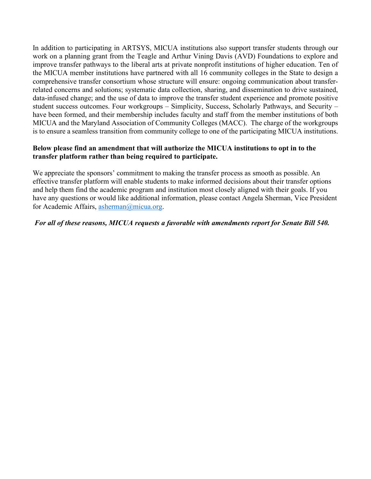In addition to participating in ARTSYS, MICUA institutions also support transfer students through our work on a planning grant from the Teagle and Arthur Vining Davis (AVD) Foundations to explore and improve transfer pathways to the liberal arts at private nonprofit institutions of higher education. Ten of the MICUA member institutions have partnered with all 16 community colleges in the State to design a comprehensive transfer consortium whose structure will ensure: ongoing communication about transferrelated concerns and solutions; systematic data collection, sharing, and dissemination to drive sustained, data-infused change; and the use of data to improve the transfer student experience and promote positive student success outcomes. Four workgroups – Simplicity, Success, Scholarly Pathways, and Security – have been formed, and their membership includes faculty and staff from the member institutions of both MICUA and the Maryland Association of Community Colleges (MACC). The charge of the workgroups is to ensure a seamless transition from community college to one of the participating MICUA institutions.

#### **Below please find an amendment that will authorize the MICUA institutions to opt in to the transfer platform rather than being required to participate.**

We appreciate the sponsors' commitment to making the transfer process as smooth as possible. An effective transfer platform will enable students to make informed decisions about their transfer options and help them find the academic program and institution most closely aligned with their goals. If you have any questions or would like additional information, please contact Angela Sherman, Vice President for Academic Affairs, [asherman@micua.org.](mailto:asherman@micua.org)

#### *For all of these reasons, MICUA requests a favorable with amendments report for Senate Bill 540.*